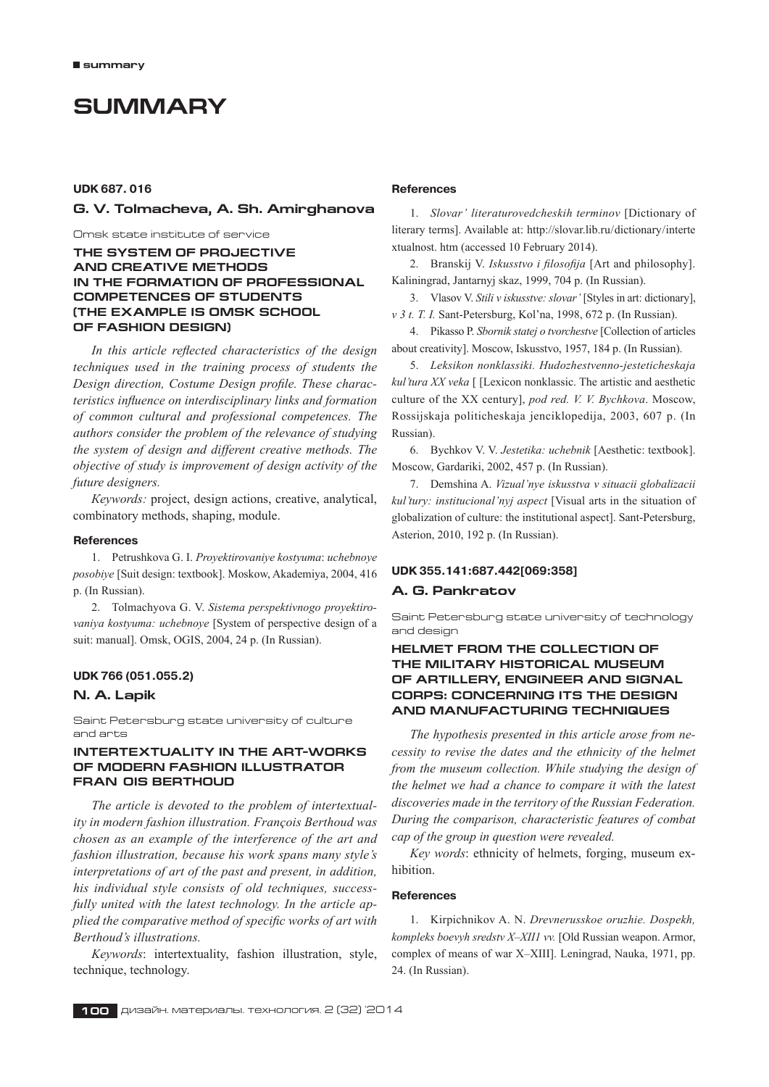# **Summary**

# **UDK 687. 016**

## **G. V. Tolmacheva, A. Sh. Amirghanova**

Omsk state institute of service

**The system of projective and creative methods in the formation of professional competences of students (The example is Omsk School of Fashion Design)**

*In this article reflected characteristics of the design techniques used in the training process of students the Design direction, Costume Design profile. These characteristics influence on interdisciplinary links and formation of common cultural and professional competences. The authors consider the problem of the relevance of studying the system of design and different creative methods. The objective of study is improvement of design activity of the future designers.*

*Кeywords:* project, design actions, creative, analytical, combinatory methods, shaping, module.

#### **References**

1. Petrushkova G. I. *Proyektirovaniye kostyuma*: *uchebnoye posobiye* [Suit design: textbook]. Moskow, Akademiya, 2004, 416 p. (In Russian).

2. Tolmachyova G. V. *Sistema perspektivnogo proyektirovaniya kostyuma: uchebnoye* [System of perspective design of a suit: manual]. Omsk, OGIS, 2004, 24 p. (In Russian).

#### **UDK 766 (051.055.2)**

#### **N. A. Lapik**

Saint Petersburg state university of culture and arts

## **Intertextuality in the art-works of modern fashion Illustrator Fran ois Berthoud**

*The article is devoted to the problem of intertextuality in modern fashion illustration. François Berthoud was chosen as an example of the interference of the art and fashion illustration, because his work spans many style's interpretations of art of the past and present, in addition, his individual style consists of old techniques, successfully united with the latest technology. In the article applied the comparative method of specific works of art with Berthoud's illustrations.*

*Keywords*: intertextuality, fashion illustration, style, technique, technology.

## **References**

1. *Slovar' literaturovedcheskih terminov* [Dictionary of literary terms]. Available at: http://slovar.lib.ru/dictionary/interte xtualnost. htm (accessed 10 February 2014).

2. Branskij V. *Iskusstvo i filosofija* [Art and philosophy]. Kaliningrad, Jantarnyj skaz, 1999, 704 p. (In Russian).

3. Vlasov V. *Stili v iskusstve: slovar'* [Styles in art: dictionary], *v 3 t. T. I.* Sant-Petersburg, Kol'na, 1998, 672 p. (In Russian).

4. Pikasso P. *Sbornik statej o tvorchestve* [Collection of articles about creativity]. Moscow, Iskusstvo, 1957, 184 p. (In Russian).

5. *Leksikon nonklassiki. Hudozhestvenno-jesteticheskaja kul'tura XX veka* [ [Lexicon nonklassic. The artistic and aesthetic culture of the XX century], *pod red. V. V. Bychkova*. Moscow, Rossijskaja politicheskaja jenciklopedija, 2003, 607 p. (In Russian).

6. Bychkov V. V. *Jestetika: uchebnik* [Aesthetic: textbook]. Moscow, Gardariki, 2002, 457 p. (In Russian).

7. Demshina A. *Vizual'nye iskusstva v situacii globalizacii kul'tury: institucional'nyj aspect* [Visual arts in the situation of globalization of culture: the institutional aspect]. Sant-Petersburg, Asterion, 2010, 192 p. (In Russian).

#### **UDK 355.141:687.442[069:358]**

#### **A. G. Pankratov**

Saint Petersburg state university of technology and design

# **Helmet from the collection of the Military historical museum of artillery, engineer and signal corps: concerning its the design and manufacturing techniques**

*The hypothesis presented in this article arose from necessity to revise the dates and the ethnicity of the helmet from the museum collection. While studying the design of the helmet we had a chance to compare it with the latest discoveries made in the territory of the Russian Federation. During the comparison, characteristic features of combat cap of the group in question were revealed.*

*Key words*: ethnicity of helmets, forging, museum exhibition.

# **References**

1.Kirpichnikov A. N.*Drevnerusskoe oruzhie. Dospekh, kompleks boevyh sredstv X–XII1 vv.* [Old Russian weapon. Armor, complex of means of war X–XIII]. Leningrad, Nauka, 1971, pp. 24. (In Russian).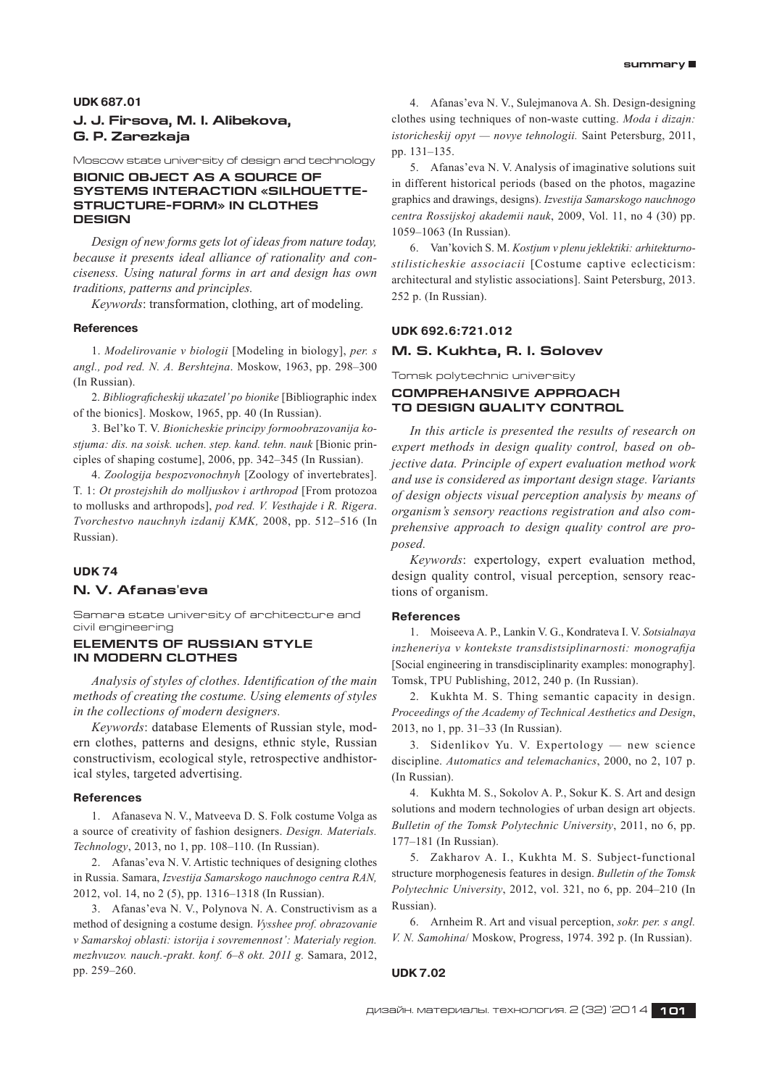#### **UDK 687.01**

# **J. J. Firsova, M. I. Alibekova, G. P. Zarezkaja**

Moscow state university of design and technology

# **Bionic object as a source of systems interaction «silhouettestructure-form» in clothes design**

*Design of new forms gets lot of ideas from nature today, because it presents ideal alliance of rationality and conciseness. Using natural forms in art and design has own traditions, patterns and principles.*

*Keywords*: transformation, clothing, art of modeling.

#### **References**

1. *Modelirovanie v biologii* [Modeling in biology], *per. s angl., pod red. N. A. Bershtejna*. Moskow, 1963, рр. 298–300 (In Russian).

2. *Bibliograficheskij ukazatel' po bionike* [Bibliographic index of the bionics]. Moskow, 1965, рp. 40 (In Russian).

3. Bel'ko T. V. *Bionicheskie principy formoobrazovanija kostjuma: dis. na soisk. uchen. step. kand. tehn. nauk* [Bionic principles of shaping costume], 2006, рр. 342–345 (In Russian).

4. *Zoologija bespozvonochnyh* [Zoology of invertebrates]. T. 1: *Ot prostejshih do molljuskov i arthropod* [From protozoa to mollusks and arthropods], *рod red. V. Vesthajde i R. Rigera*. *Tvorchestvo nauchnyh izdanij KMK,* 2008, рр. 512–516 (In Russian).

#### **UDK 74**

# **N. V. Afanas'eva**

Samara state university of architecture and civil engineering

#### **ELEMENTS OF RUSSIAN STYLE IN MODERN CLOTHES**

*Analysis of styles of clothes. Identification of the main methods of creating the costume. Using elements of styles in the collections of modern designers.*

*Keywords*: database Elements of Russian style, modern clothes, patterns and designs, ethnic style, Russian constructivism, ecological style, retrospective andhistorical styles, targeted advertising.

## **References**

1. Afanaseva N. V., Matveeva D. S. Folk costume Volga as a source of creativity of fashion designers.*Design. Materials. Technology*, 2013, no 1, pp. 108–110. (In Russian).

2. Afanas'eva N. V. Artistic techniques of designing clothes in Russia. Samara, *Izvestija Samarskogo nauchnogo centra RAN,* 2012, vol. 14, no 2 (5), pp. 1316–1318 (In Russian).

3. Afanas'eva N. V., Polynova N. A. Constructivism as a method of designing a costume design.*Vysshee prof. obrazovanie v Samarskoj oblasti: istorija i sovremennost': Materialy region. mezhvuzov. nauch.‑prakt. konf. 6–8 okt. 2011 g.* Samara, 2012, pp. 259–260.

4. Afanas'eva N. V., Sulejmanova A. Sh.Design-designing clothes using techniques of non-waste cutting.*Moda i dizajn: istoricheskij opyt — novye tehnologii.* Saint Petersburg, 2011, pp. 131–135.

5. Afanas'eva N. V. Analysis of imaginative solutions suit in different historical periods (based on the photos, magazine graphics and drawings, designs).*Izvestija Samarskogo nauchnogo centra Rossijskoj akademii nauk*, 2009, Vol. 11, no 4 (30) pp. 1059–1063 (In Russian).

6. Van'kovich S. M. *Kostjum v plenu jeklektiki: arhitekturnostilisticheskie associacii* [Costume captive eclecticism: architectural and stylistic associations]. Saint Petersburg, 2013. 252 р. (In Russian).

## **UDK 692.6:721.012**

#### **M. S. Kukhta, R. I. Solovev**

Tomsk polytechnic university

# **COMPREHANSIVE APPROACH TO DESIGN QUALITY CONTROL**

*In this article is presented the results of research on expert methods in design quality control, based on objective data. Principle of expert evaluation method work and use is considered as important design stage. Variants of design objects visual perception analysis by means of organism's sensory reactions registration and also comprehensive approach to design quality control are proposed.*

*Keywords*: expertology, expert evaluation method, design quality control, visual perception, sensory reactions of organism.

#### **References**

1. Moiseeva A. P., Lankin V. G., Kondrateva I. V. *Sotsialnaya inzheneriya v kontekste transdistsiplinarnosti: monografija* [Social engineering in transdisciplinarity examples: monography]. Tomsk, TPU Publishing, 2012, 240 p. (In Russian).

2. Kukhta M. S. Thing semantic capacity in design. *Proceedings of the Academy of Technical Aesthetics and Design*, 2013, no 1, pp. 31–33 (In Russian).

3. Sidenlikov Yu. V. Expertology — new science discipline.*Automatics and telemachanics*, 2000, no 2, 107 p. (In Russian).

4. Kukhta M. S., Sokolov A. P., Sokur K. S. Art and design solutions and modern technologies of urban design art objects. *Bulletin of the Tomsk Polytechnic University*, 2011, no 6, pp. 177–181 (In Russian).

5. Zakharov A. I., Kukhta M. S. Subject-functional structure morphogenesis features in design.*Bulletin of the Tomsk Polytechnic University*, 2012, vol. 321, no 6, pp. 204–210 (In Russian).

6. Arnheim R. Art and visual perception, *sokr. per. s angl. V. N. Samohina*/ Мoskow, Progress, 1974. 392 p. (In Russian).

#### **UDK 7.02**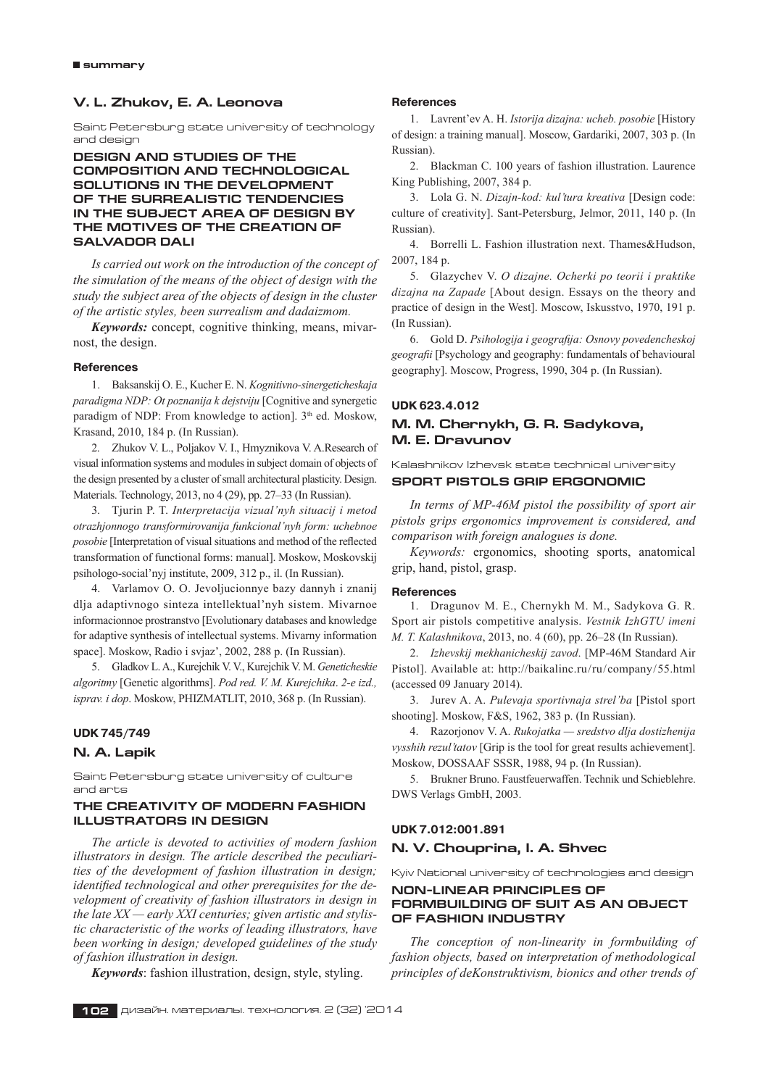# **V. L. Zhukov, E. A. Leonovа**

Saint Petersburg state university of technology and design

## **Design and studies of the composition and technological solutions in the development of the surrealistic tendencies in the subject area of design by the motives of the creation of Salvador Dali**

*Is carried out work on the introduction of the concept of the simulation of the means of the object of design with the study the subject area of the objects of design in the cluster of the artistic styles, been surrealism and dadaizmom.*

*Keywords:* concept, cognitive thinking, means, mivarnost, the design.

## **References**

1. Baksanskij O. E., Kucher E. N. *Kognitivno-sinergeticheskaja paradigma NDP: Ot poznanija k dejstviju* [Cognitive and synergetic paradigm of NDP: From knowledge to action]. 3<sup>th</sup> ed. Moskow, Krasand, 2010, 184 p. (In Russian).

2. Zhukov V. L., Poljakov V. I., Hmyznikova V. A.Research of visual information systems and modules in subject domain of objects of the design presented by a cluster of small architectural plasticity. Design. Materials. Technology, 2013, no 4 (29), pp. 27–33 (In Russian).

3. Tjurin P. T. *Interpretacija vizual'nyh situacij i metod otrazhjonnogo transformirovanija funkcional'nyh form: uchebnoe posobie* [Interpretation of visual situations and method of the reflected transformation of functional forms: manual]. Moskow, Moskovskij psihologo-social'nyj institute, 2009, 312 p., il. (In Russian).

4. Varlamov O. O. Jevoljucionnye bazy dannyh i znanij dlja adaptivnogo sinteza intellektual'nyh sistem. Mivarnoe informacionnoe prostranstvo [Evolutionary databases and knowledge for adaptive synthesis of intellectual systems. Mivarny information space]. Moskow, Radio i svjaz', 2002, 288 p. (In Russian).

5. Gladkov L. A., Kurejchik V. V., Kurejchik V. M.*Geneticheskie algoritmy* [Genetic algorithms].*Pod red. V. M. Kurejchika*.*2‑e izd., isprav. i dop*. Moskow, PHIZMATLIT, 2010, 368 p. (In Russian).

## **UDK 745/749**

## **N. A. Lapik**

Saint Petersburg state university of culture and arts

# **The creativity of modern fashion illustrators in design**

*The article is devoted to activities of modern fashion illustrators in design. The article described the peculiarities of the development of fashion illustration in design; identified technological and other prerequisites for the development of creativity of fashion illustrators in design in the late XX — early XXI centuries; given artistic and stylistic characteristic of the works of leading illustrators, have been working in design; developed guidelines of the study of fashion illustration in design.*

*Keywords*: fashion illustration, design, style, styling.

#### **References**

1. Lavrent'ev Α. Η. *Istorija dizajna: ucheb. posobie* [History of design: a training manual]. Moscow, Gardariki, 2007, 303 p. (In Russian).

2. Blackman C. 100 years of fashion illustration. Laurence King Publishing, 2007, 384 p.

3. Lola G. N. *Dizajn-kod: kul'tura kreativa* [Design code: culture of creativity]. Sant-Petersburg, Jelmor, 2011, 140 p. (In Russian).

4. Borrelli L. Fashion illustration next. Thames&Hudson, 2007, 184 p.

5. Glazychev V. *O dizajne. Ocherki po teorii i praktike dizajna na Zapade* [About design. Essays on the theory and practice of design in the West]. Moscow, Iskusstvo, 1970, 191 p. (In Russian).

6. Gold D. *Psihologija i geografija: Osnovy povedencheskoj geografii* [Psychology and geography: fundamentals of behavioural geography]. Moscow, Progress, 1990, 304 p. (In Russian).

#### **UDK 623.4.012**

# **M. M. Chernykh, G. R. Sadykova, M. E. Dravunov**

Kalashnikov Izhevsk state technical university **SPORT PISTOLS GRIP ERGONOMIC**

*In terms of MP-46M pistol the possibility of sport air pistols grips ergonomics improvement is considered, and comparison with foreign analogues is done.*

*Keywords:* ergonomics, shooting sports, anatomical grip, hand, pistol, grasp.

#### **References**

1. Dragunov M. E., Chernykh M. M., Sadykova G. R. Sport air pistols competitive analysis.*Vestnik IzhGTU imeni M. T. Kalashnikova*, 2013, no. 4 (60), pp. 26–28 (In Russian).

2. *Izhevskij mekhanicheskij zavod*. [MP-46M Standard Air Pistol]. Available at: http://baikalinc.ru/ru/company/55.html (accessed 09 January 2014).

3. Jurev A. A. *Pulevaja sportivnaja strel'ba* [Pistol sport shooting]. Moskow, F&S, 1962, 383 p. (In Russian).

4. Razorjonov V. A. *Rukojatka — sredstvo dlja dostizhenija vysshih rezul'tatov* [Grip is the tool for great results achievement]. Moskow, DOSSAAF SSSR, 1988, 94 p. (In Russian).

5. Brukner Bruno. Faustfeuerwaffen. Technik und Schieblehre. DWS Verlags GmbH, 2003.

## **UDK 7.012:001.891**

## **N. V. Chouprina, I. A. Shvec**

Kyiv National university of technologies and design **NON-LINEAR PRINCIPLES OF**

# **FORMBUILDING OF SUIT AS AN OBJECT OF FASHION INDUSTRY**

*The conception of non-linearity in formbuilding of fashion objects, based on interpretation of methodological principles of deKonstruktivism, bionics and other trends of*

**102** дизайн. материалы. технология. 2 (32) '2014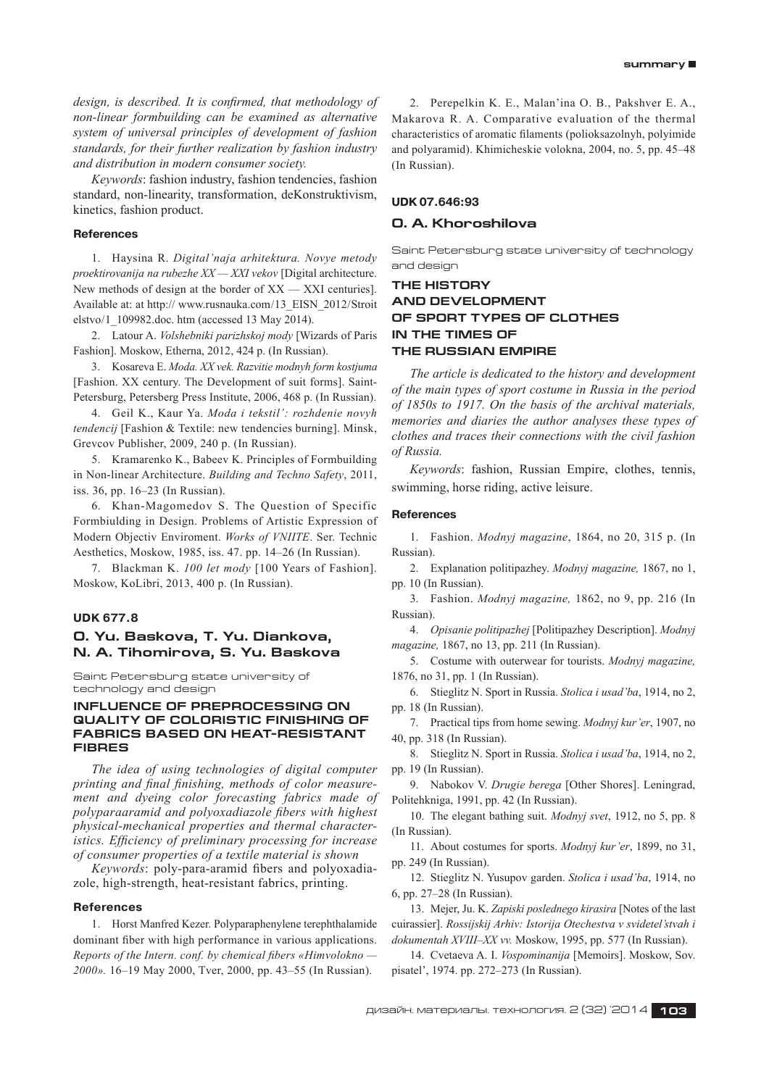*design, is described. It is confirmed, that methodology of non-linear formbuilding can be examined as alternative system of universal principles of development of fashion standards, for their further realization by fashion industry and distribution in modern consumer society.*

*Keywords*: fashion industry, fashion tendencies, fashion standard, non-linearity, transformation, deKonstruktivism, kinetics, fashion product.

#### **References**

1. Haysina R. *Digital'naja arhitektura. Novye metody proektirovanija na rubezhe XX — XXІ vekov* [Digital architecture. New methods of design at the border of  $XX - XXI$  centuries]. Available at: at http:// www.rusnauka.com/13\_EISN\_2012/Stroit elstvo/1\_109982.doc. htm (accessed 13 May 2014).

2. Latour A. *Volshebniki parizhskoj mody* [Wizards of Paris Fashion]. Moskow, Etherna, 2012, 424 p. (In Russian).

3. Kosareva E. *Moda. XX vek. Razvitie modnyh form kostjuma* [Fashion. XX century. The Development of suit forms]. Saint-Petersburg, Petersberg Press Institute, 2006, 468 p. (In Russian).

4. Geil K., Kaur Ya.*Moda i tekstil': rozhdenie novyh tendencij* [Fashion & Textile: new tendencies burning]. Minsk, Grevcov Publisher, 2009, 240 p. (In Russian).

5. Kramarenko K., Babeev K. Principles of Formbuilding in Non-linear Architecture.*Building and Techno Safety*, 2011, iss. 36, pp. 16–23 (In Russian).

6. Khan-Magomedov S.The Question of Specific Formbiulding in Design. Problems of Artistic Expression of Modern Objectiv Enviroment.*Works of VNIITE*. Ser. Technic Aesthetics, Moskow, 1985, iss. 47. pp. 14–26 (In Russian).

7. Blackman K.*100 let mody* [100 Years of Fashion]. Moskow, KoLibri, 2013, 400 p. (In Russian).

## **UDK 677.8**

# **O. Yu. Baskova, T. Yu. Diankova, N. A. Tihomirova, S. Yu. Baskova**

Saint Petersburg state university of technology and design

## **INFLUENCE OF PREPROCESSING ON QUALITY OF COLORISTIC FINISHING OF FABRICS based on HEAT-RESISTANT FIBRES**

*The idea of using technologies of digital computer printing and final finishing, methods of color measurement and dyeing color forecasting fabrics made of polyparaaramid and polyoxadiazole fibers with highest physical-mechanical properties and thermal characteristics. Efficiency of preliminary processing for increase of consumer properties of a textile material is shown*

*Keywords*: poly-para-aramid fibers and polyoxadiazole, high-strength, heat-resistant fabrics, printing.

#### **References**

1. Horst Manfred Kezer. Polyparaphenylene terephthalamide dominant fiber with high performance in various applications. *Reports of the Intern. conf. by chemical fibers «Himvolokno — 2000».* 16–19 May 2000, Tver, 2000, pp. 43–55 (In Russian).

2. Perepelkin K. E., Malan'ina O. B., Pakshver E. A., Makarova R. A. Comparative evaluation of the thermal characteristics of aromatic filaments (polioksazolnyh, polyimide and polyaramid). Khimicheskie volokna, 2004, no. 5, pp. 45–48 (In Russian).

#### **UDK 07.646:93**

## **O. A. Khoroshilova**

Saint Petersburg state university of technology and design

# **The history and development of sport types of clothes in the times of the Russian Empire**

*The article is dedicated to the history and development of the main types of sport costume in Russia in the period of 1850s to 1917. On the basis of the archival materials, memories and diaries the author analyses these types of clothes and traces their connections with the civil fashion of Russia.*

*Keywords*: fashion, Russian Empire, clothes, tennis, swimming, horse riding, active leisure.

#### **References**

1. Fashion.*Modnyj magazine*, 1864, no 20, 315 p. (In Russian).

2. Explanation politipazhey.*Modnyj magazine,* 1867, no 1, pp. 10 (In Russian).

3. Fashion.*Modnyj magazine,* 1862, no 9, pp. 216 (In Russian).

4. *Opisanie politipazhej* [Politipazhey Description].*Modnyj magazine,* 1867, no 13, pp. 211 (In Russian).

5. Costume with outerwear for tourists.*Modnyj magazine,* 1876, no 31, pp. 1 (In Russian).

6. Stieglitz N. Sport in Russia.*Stolica i usad'ba*, 1914, no 2, pp. 18 (In Russian).

7.Practical tips from home sewing.*Modnyj kur'er*, 1907, no 40, pp. 318 (In Russian).

8. Stieglitz N. Sport in Russia.*Stolica i usad'ba*, 1914, no 2, pp. 19 (In Russian).

9. Nabokov V. *Drugie berega* [Other Shores]. Leningrad, Politehkniga, 1991, pp. 42 (In Russian).

10.The elegant bathing suit.*Modnyj svet*, 1912, no 5, pp. 8 (In Russian).

11.About costumes for sports.*Modnyj kur'er*, 1899, no 31, pp. 249 (In Russian).

12.Stieglitz N. Yusupov garden.*Stolica i usad'ba*, 1914, no 6, pp. 27–28 (In Russian).

13.Mejer, Ju. K. *Zapiski poslednego kirasira* [Notes of the last cuirassier].*Rossijskij Arhiv: Istorija Otechestva v svidetel'stvah i dokumentah XVIII–XX vv.* Мoskow, 1995, pp. 577 (In Russian).

14.Cvetaeva A. I. *Vospominanija* [Memoirs]. Moskow, Sov. pisatel', 1974. pp. 272–273 (In Russian).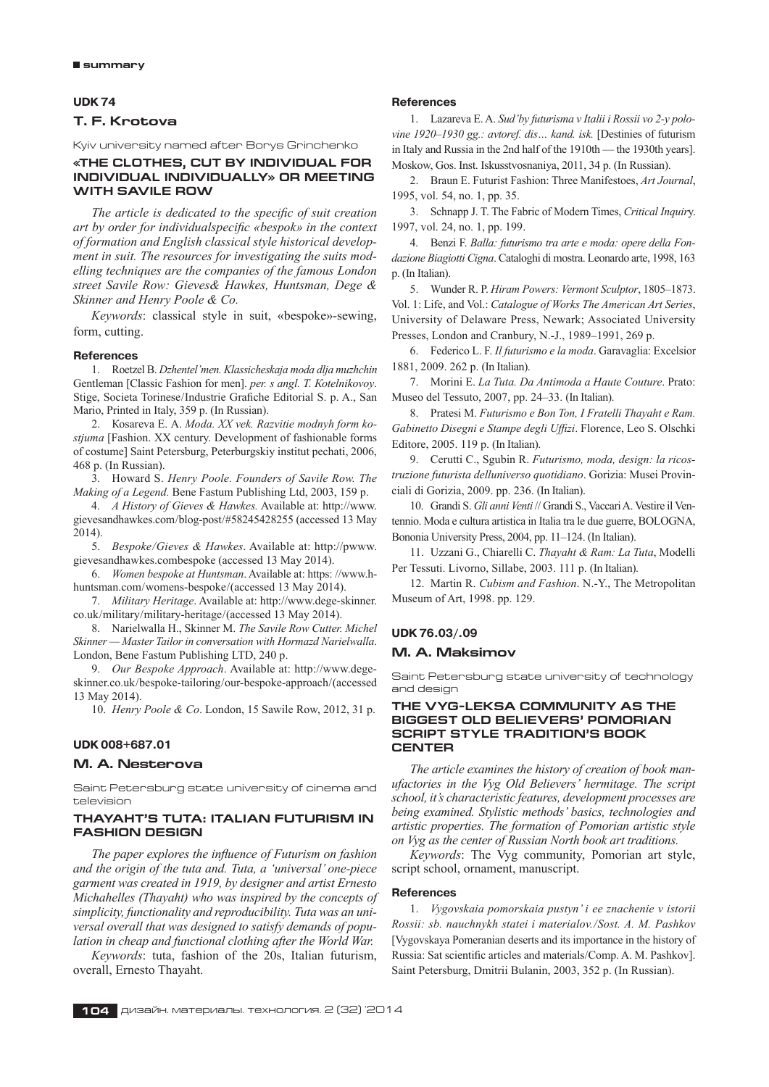## **UDK 74**

# **T. F. Krotova**

Kyiv university named after Borys Grinchenko

## **«The Clothes, Cut by Individual for Individual Individually» or Meeting with Savile Row**

*The article is dedicated to the specific of suit creation art by order for individualspecific «bespok» in the context of formation and English classical style historical development in suit. The resources for investigating the suits modelling techniques are the companies of the famous London street Savile Row: Gieves& Hawkes, Huntsman, Dege & Skinner and Henry Poole & Co.*

*Keywords*: classical style in suit, «bespoke»-sewing, form, cutting.

#### **References**

1. Roetzel B. *Dzhentel'men. Klassicheskaja moda dlja muzhchin* Gentleman [Classic Fashion for men].*pеr. s аngl. Т. Коtеlnikоvоy*. Stige, Societa Torinese/Industrie Grafiche Editorial S. p. A., San Mario, Printed in Italy, 359 p. (In Russian).

2. Коsаrеvа Е. А. *Moda. XX vek. Razvitie modnyh form kostjuma* [Fashion. XX century. Development of fashionable forms of costume] Saint Petersburg, Pеtеrburgskiy institut pechati, 2006, 468 p. (In Russian).

3. Howard S. *Henry Poole. Founders of Savile Row. The Making of a Legend.* Bene Fastum Publishing Ltd, 2003, 159 p.

4. *A History of Gieves & Hawkes.* Available at: http://www. gievesandhawkes.com/blog-post/#58245428255 (accessed 13 May 2014).

5. *Bespoke/Gieves & Hawkes*. Available at: http://pwww. gievesandhawkes.combespoke (accessed 13 May 2014).

6. *Women bespoke at Huntsman*. Available at: https: //www.hhuntsman.com/womens-bespoke/(accessed 13 May 2014).

7. *Military Heritage*. Available at: http://www.dege-skinner. co.uk/military/military-heritage/(accessed 13 May 2014).

8. Narielwalla H., Skinner M. *The Savile Row Cutter. Michel Skinner — Master Tailor in conversation with Hormazd Narielwalla*. London, Bene Fastum Publishing LTD, 240 p.

9. *Our Bespoke Approach*. Available at: http://www.degeskinner.co.uk/bespoke-tailoring/our-bespoke-approach/(accessed 13 May 2014).

10. *Henry Poole & Co*. London, 15 Sawile Row, 2012, 31 p.

#### **UDK 008+687.01**

#### **M. A. Nesterova**

Saint Petersburg state university of cinema and television

## **Thayaht's Tuta: Italian Futurism in Fashion Design**

*The paper explores the influence of Futurism on fashion and the origin of the tuta and. Tuta, a 'universal' one-piece garment was created in 1919, by designer and artist Ernesto Michahelles (Thayaht) who was inspired by the concepts of simplicity, functionality and reproducibility. Tuta was an universal overall that was designed to satisfy demands of population in cheap and functional clothing after the World War.*

*Keywords*: tuta, fashion of the 20s, Italian futurism, overall, Ernesto Thayaht.

#### **References**

1. Lazareva E. A. *Sud'by futurisma v Italii i Rossii vo 2‑y polovine 1920–1930 gg.: avtoref. dis… kand. isk.* [Destinies of futurism in Italy and Russia in the 2nd half of the 1910th — the 1930th years]. Moskow, Gos. Inst. Iskusstvosnaniya, 2011, 34 p. (In Russian).

2. Braun E. Futurist Fashion: Three Manifestoes, *Art Journal*, 1995, vol. 54, no. 1, pp. 35.

3. Schnapp J. T. The Fabric of Modern Times, *Critical Inquir*y. 1997, vol. 24, no. 1, pp. 199.

4. Benzi F. *Balla: futurismo tra arte e moda: opere della Fondazione Biagiotti Cigna*. Cataloghi di mostra. Leonardo arte, 1998, 163 p. (In Italian).

5. Wunder R. P. *Hiram Powers: Vermont Sculptor*, 1805–1873. Vol. 1: Life, and Vol.: *Catalogue of Works The American Art Series*, University of Delaware Press, Newark; Associated University Presses, London and Cranbury, N.‑J., 1989–1991, 269 p.

6. Federico L. F. *Il futurismo e la moda*. Garavaglia: Excelsior 1881, 2009. 262 p. (In Italian).

7. Morini E. *La Tuta. Da Antimoda a Haute Couture*. Prato: Museo del Tessuto, 2007, pp. 24–33. (In Italian).

8. Pratesi M. *Futurismo e Bon Ton, I Fratelli Thayaht e Ram. Gabinetto Disegni e Stampe degli Uffizi*. Florence, Leo S. Olschki Editore, 2005. 119 p. (In Italian).

9. Cerutti C., Sgubin R. *Futurismo, moda, design: la ricostruzione futurista delluniverso quotidiano*. Gorizia: Musei Provinciali di Gorizia, 2009. pp. 236. (In Italian).

10. Grandi S. *Gli anni Venti* // Grandi S., VaccariA. Vestire il Ventennio. Moda e cultura artistica in Italia tra le due guerre, BOLOGNA, Bononia University Press, 2004, pp. 11–124. (In Italian).

11. Uzzani G., Chiarelli C. *Thayaht & Ram: La Tuta*, Modelli Per Tessuti. Livorno, Sillabe, 2003. 111 p. (In Italian).

12. Martin R. *Cubism and Fashion*. N.‑Y., The Metropolitan Museum of Art, 1998. pp. 129.

# **UDK 76.03/.09**

# **M. A. Maksimov**

Saint Petersburg state university of technology and design

## **The Vyg-Leksa Community as the biggest Old Believers' Pomorian script style tradition's book center**

*The article examines the history of creation of book manufactories in the Vyg Old Believers' hermitage. The script school, it's characteristic features, development processes are being examined. Stylistic methods' basics, technologies and artistic properties. The formation of Pomorian artistic style on Vyg as the center of Russian North book art traditions.*

*Keywords*: The Vyg community, Pomorian art style, script school, ornament, manuscript.

#### **References**

1. *Vygovskaia pomorskaia pustyn' i ee znachenie v istorii Rossii: sb. nauchnykh statei i materialov./Sost. A. M. Pashkov* [Vygovskaya Pomeranian deserts and its importance in the history of Russia: Sat scientific articles and materials/Comp. A. M. Pashkov]. Saint Petersburg, Dmitrii Bulanin, 2003, 352 p. (In Russian).

**104** дизайн. материалы. технология. 2 (32) '2014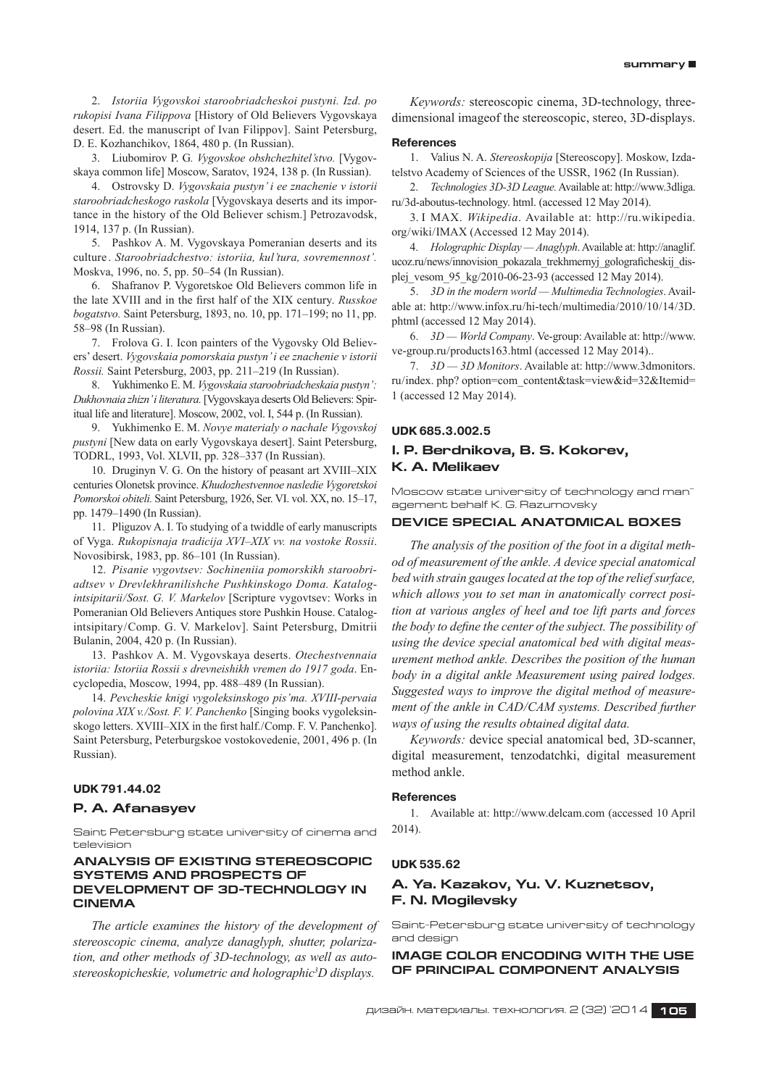2. *Istoriia Vygovskoi staroobriadcheskoi pustyni. Izd. po rukopisi Ivana Filippova* [History of Old Believers Vygovskaya desert. Ed. the manuscript of Ivan Filippov]. Saint Petersburg, D. E. Kozhanchikov, 1864, 480 p. (In Russian).

3. Liubomirov P. G*. Vygovskoe obshchezhitel'stvo.* [Vygovskaya common life] Moscow, Saratov, 1924, 138 p. (In Russian).

4. Ostrovsky D. *Vygovskaia pustyn' i ee znachenie v istorii staroobriadcheskogo raskola* [Vygovskaya deserts and its importance in the history of the Old Believer schism.] Petrozavodsk, 1914, 137 p. (In Russian).

5. Pashkov A. M.Vygovskaya Pomeranian deserts and its culture  .*Staroobriadchestvo: istoriia, kul'tura, sovremennost'.* Moskva, 1996, no. 5, pp. 50–54 (In Russian).

6. Shafranov P. Vygoretskoe Old Believers common life in the late XVIII and in the first half of the XIX century.*Russkoe bogatstvo.* Saint Petersburg, 1893, no. 10, pp. 171–199; no 11, pp. 58–98 (In Russian).

7. Frolova G. I. Icon painters of the Vygovsky Old Believers' desert.*Vygovskaia pomorskaia pustyn'i ee znachenie v istorii Rossii.* Saint Petersburg, 2003, pp. 211–219 (In Russian).

8. Yukhimenko E. M. *Vygovskaia staroobriadcheskaia pustyn': Dukhovnaia zhizn'i literatura.* [Vygovskaya deserts Old Believers: Spiritual life and literature]. Moscow, 2002, vol. I, 544 p. (In Russian).

9. Yukhimenko E. M. *Novye materialy o nachale Vygovskoj pustyni* [New data on early Vygovskaya desert]. Saint Petersburg, TODRL, 1993, Vol. XLVII, pp. 328–337 (In Russian).

10. Druginyn V. G. On the history of peasant art XVIII–XIX centuries Olonetsk province.*Khudozhestvennoe nasledie Vygoretskoi Pomorskoi obiteli.* Saint Petersburg, 1926, Ser. VI. vol. XX, no. 15–17, pp. 1479–1490 (In Russian).

11. Pliguzov A. I. To studying of a twiddle of early manuscripts of Vyga.*Rukopisnaja tradicija XVI–XIX vv. na vostoke Rossii*. Novosibirsk, 1983, pp. 86–101 (In Russian).

12. *Pisanie vygovtsev: Sochineniia pomorskikh staroobriadtsev v Drevlekhranilishche Pushkinskogo Doma. Katalogintsipitarii/Sost. G. V. Markelov* [Scripture vygovtsev: Works in Pomeranian Old Believers Antiques store Pushkin House. Catalogintsipitary/Comp. G. V. Markelov]. Saint Petersburg, Dmitrii Bulanin, 2004, 420 p. (In Russian).

13. Pashkov A. M. Vygovskaya deserts.*Otechestvennaia istoriia: Istoriia Rossii s drevneishikh vremen do 1917 goda*. Encyclopedia, Moscow, 1994, pp. 488–489 (In Russian).

14.*Pevcheskie knigi vygoleksinskogo pis'ma. XVIII-pervaia polovina XIX v./Sost. F. V. Panchenko* [Singing books vygoleksinskogo letters. XVIII–XIX in the first half. /Comp. F. V. Panchenko]. Saint Petersburg, Peterburgskoe vostokovedenie, 2001, 496 p. (In Russian).

## **UDK 791.44.02**

#### **P. A. Afanasyev**

Saint petersburg state university of cinema and television

## **ANALYSIS OF EXISTING STEREOSCOPIC SYSTEMS AND PROSPECTS OF DEVELOPMENT OF 3D-TECHNOLOGY IN CINEMA**

*The article examines the history of the development of stereoscopic cinema, analyze danaglyph, shutter, polarization, and other methods of 3D-technology, as well as autostereoskopicheskie, volumetric and holographic3 D displays.*

*Keywords:* stereoscopic cinema, 3D-technology, threedimensional imageof the stereoscopic, stereo, 3D-displays.

#### **References**

1. Valius N. A. *Stereoskopija* [Stereoscopy]. Moskow, Izdatelstvo Academy of Sciences of the USSR, 1962 (In Russian).

2. *Technologies 3D-3D League.* Available at: http://www.3dliga. ru/3d-aboutus-technology. html. (accessed 12 May 2014).

3. I MAX. *Wikipedia*. Available at: http://ru.wikipedia. org/wiki/IMAX (Accessed 12 May 2014).

4. *Holographic Display — Anaglyph*. Available at: http://anaglif. ucoz.ru/news/innovision\_pokazala\_trekhmernyj\_golograficheskij\_displej\_vesom\_95\_kg/2010-06-23-93 (accessed 12 May 2014).

5. *3D in the modern world — Multimedia Technologies*. Available at: http://www.infox.ru/hi-tech/multimedia/2010/10/14/3D. phtml (accessed 12 May 2014).

6. *3D — World Company*. Ve-group: Available at: http://www. ve-group.ru/products163.html (accessed 12 May 2014)..

7. *3D — 3D Monitors*. Available at: http://www.3dmonitors. ru/index. php? option=com\_content&task=view&id=32&Itemid= 1 (accessed 12 May 2014).

# **UDK 685.3.002.5**

# **I. P. Berdnikova, B. S. Kokorev, K. A. Melikaev**

Moscow state university of technology and management behalf K. G. Razumovsky

## **Device special anatomical Boxes**

*The analysis of the position of the foot in a digital method of measurement of the ankle. A device special anatomical bed with strain gaugeslocated at the top of the reliefsurface, which allows you to set man in anatomically correct position at various angles of heel and toe lift parts and forces the body to define the center of the subject. The possibility of using the device special anatomical bed with digital measurement method ankle. Describes the position of the human body in a digital ankle Measurement using paired lodges. Suggested ways to improve the digital method of measurement of the ankle in CAD/CAM systems. Described further ways of using the results obtained digital data.*

*Keywords:* device special anatomical bed, 3D-scanner, digital measurement, tenzodatchki, digital measurement method ankle.

## **References**

1. Available at: http://www.delcam.com (accessed 10 April 2014).

#### **UDK 535.62**

# **A. Ya. Kazakov, Yu. V. Kuznetsov, F. N. Mogilevsky**

Saint-Petersburg state university of technology and design

**IMAGE COLOR ENCODING WITH THE USE OF PRINCIPAL COMPONENT ANALYSIS**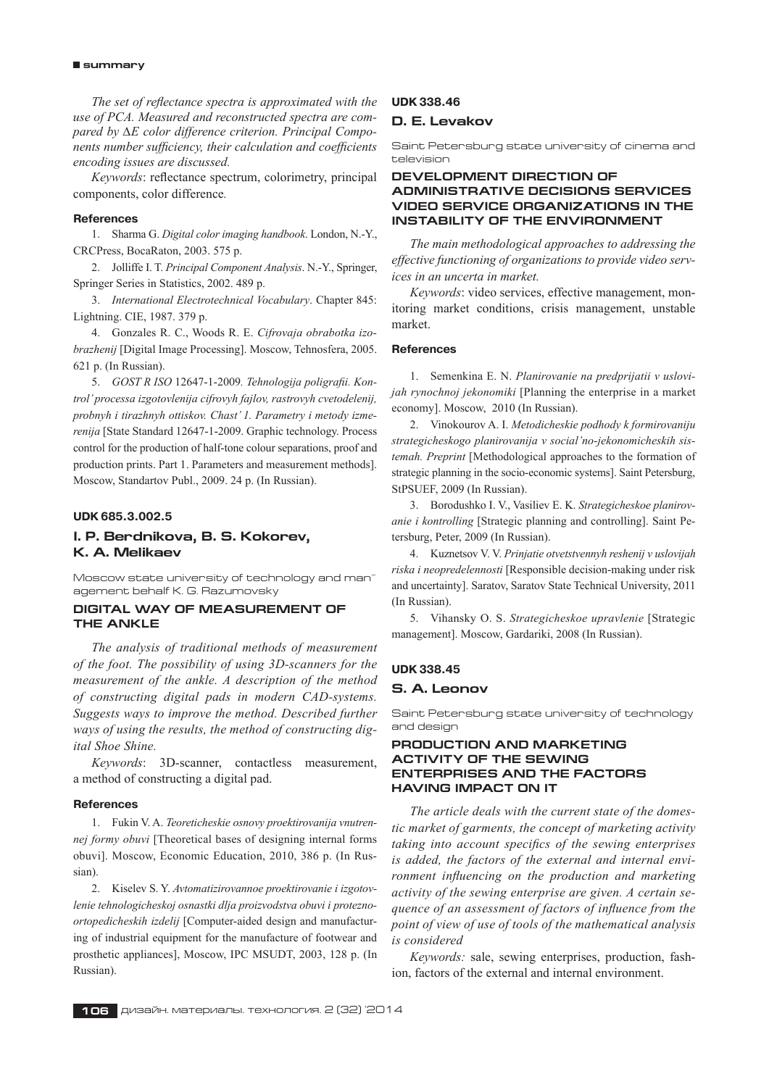*The set of reflectance spectra is approximated with the use of PCA. Measured and reconstructed spectra are compared by ∆E color difference criterion. Principal Components number sufficiency, their calculation and coefficients encoding issues are discussed.*

*Keywords*: reflectance spectrum, colorimetry, principal components, color difference*.*

## **References**

1. Sharma G. *Digital color imaging handbook*. London, N.‑Y., CRCPress, BocaRaton, 2003. 575 p.

2. Jolliffe I. T. *Principal Component Analysis*. N.‑Y., Springer, Springer Series in Statistics, 2002. 489 p.

3. *International Electrotechnical Vocabulary*. Chapter 845: Lightning. CIE, 1987. 379 p.

4. Gonzales R. C., Woods R. E. *Cifrovaja obrabotka izobrazhenij* [Digital Image Processing]. Moscow, Tehnosfera, 2005. 621 p. (In Russian).

5. *GOST R ISO* 12647‑1‑2009*. Tehnologija poligrafii. Kontrol'processa izgotovlenija cifrovyh fajlov, rastrovyh cvetodelenij, probnyh i tirazhnyh ottiskov. Chast' 1. Parametry i metody izmerenija* [State Standard 12647‑1‑2009. Graphic technology. Process control for the production of half-tone colour separations, proof and production prints. Part 1. Parameters and measurement methods]. Moscow, Standartov Publ., 2009. 24 p. (In Russian).

## **UDK 685.3.002.5**

# **I. P. Berdnikova, B. S. Kokorev, K. A. Melikaev**

Moscow state university of technology and management behalf K. G. Razumovsky

# **Digital way of measurement of the ankle**

*The analysis of traditional methods of measurement of the foot. The possibility of using 3D-scanners for the measurement of the ankle. A description of the method of constructing digital pads in modern CAD-systems. Suggests ways to improve the method. Described further ways of using the results, the method of constructing digital Shoe Shine.*

*Keywords*: 3D-scanner, contactless measurement, a method of constructing a digital pad.

#### **References**

1. Fukin V. A. *Teoreticheskie osnovy proektirovanija vnutrennej formy obuvi* [Theoretical bases of designing internal forms obuvi]. Moscow, Economic Education, 2010, 386 p. (In Russian).

2. Kiselev S. Y. *Avtomatizirovannoe proektirovanie i izgotovlenie tehnologicheskoj osnastki dlja proizvodstva obuvi i proteznoortopedicheskih izdelij* [Computer-aided design and manufacturing of industrial equipment for the manufacture of footwear and prosthetic appliances], Moscow, IPC MSUDT, 2003, 128 p. (In Russian).

## **UDK 338.46**

#### **D. E. Levakov**

Saint petersburg state university of cinema and television

# **DEVELOPMENT DIRECTION OF ADMINISTRATIVE DECISIONS SERVICES VIDEO SERVICE ORGANIZATIONS IN THE INSTABILITY OF THE ENVIRONMENT**

*The main methodological approaches to addressing the effective functioning of organizations to provide video services in an uncerta in market.*

*Keywords*: video services, effective management, monitoring market conditions, crisis management, unstable market.

## **References**

1. Semenkina E. N. *Planirovanie na predprijatii v uslovijah rynochnoj jekonomiki* [Planning the enterprise in a market economy]. Moscow, 2010 (In Russian).

2. Vinokourov A. I. *Metodicheskie podhody k formirovaniju strategicheskogo planirovanija v social'no-jekonomicheskih sistemah. Preprint* [Methodological approaches to the formation of strategic planning in the socio-economic systems]. Saint Petersburg, StPSUEF, 2009 (In Russian).

3. Borodushko I. V., Vasiliev E. K. *Strategicheskoe planirovanie i kontrolling* [Strategic planning and controlling]. Saint Petersburg, Peter, 2009 (In Russian).

4. Kuznetsov V. V. *Prinjatie otvetstvennyh reshenij v uslovijah riska i neopredelennosti* [Responsible decision-making under risk and uncertainty]. Saratov, Saratov State Technical University, 2011 (In Russian).

5. Vihansky O. S. *Strategicheskoe upravlenie* [Strategic management]. Moscow, Gardariki, 2008 (In Russian).

# **UDK 338.45 S. A. Leonov**

Saint Petersburg state university of technology and design

## **Production and marketing activity of the sewing enterprises and the factors having impact on it**

*The article deals with the current state of the domestic market of garments, the concept of marketing activity taking into account specifics of the sewing enterprises is added, the factors of the external and internal environment influencing on the production and marketing activity of the sewing enterprise are given. A certain sequence of an assessment of factors of influence from the point of view of use of tools of the mathematical analysis is considered*

*Keywords:* sale, sewing enterprises, production, fashion, factors of the external and internal environment.